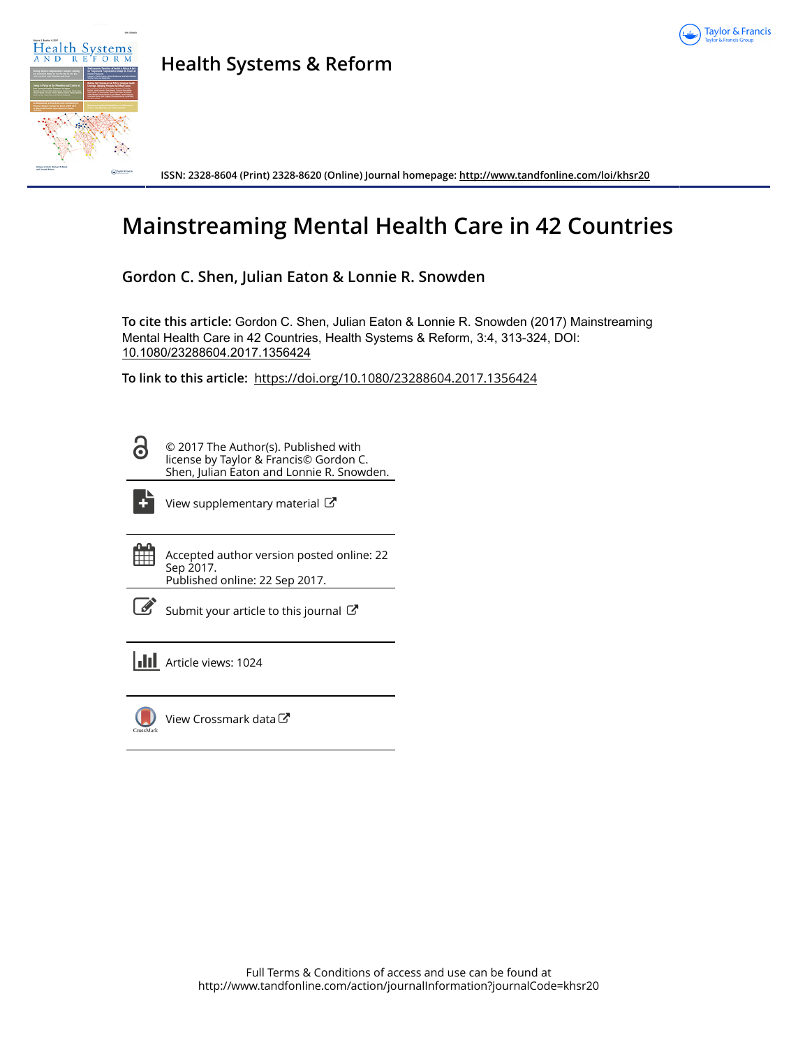



**Health Systems & Reform**

**ISSN: 2328-8604 (Print) 2328-8620 (Online) Journal homepage:<http://www.tandfonline.com/loi/khsr20>**

# **Mainstreaming Mental Health Care in 42 Countries**

**Gordon C. Shen, Julian Eaton & Lonnie R. Snowden**

**To cite this article:** Gordon C. Shen, Julian Eaton & Lonnie R. Snowden (2017) Mainstreaming Mental Health Care in 42 Countries, Health Systems & Reform, 3:4, 313-324, DOI: [10.1080/23288604.2017.1356424](http://www.tandfonline.com/action/showCitFormats?doi=10.1080/23288604.2017.1356424)

**To link to this article:** <https://doi.org/10.1080/23288604.2017.1356424>

6

© 2017 The Author(s). Published with license by Taylor & Francis© Gordon C. Shen, Julian Eaton and Lonnie R. Snowden.



[View supplementary material](http://www.tandfonline.com/doi/suppl/10.1080/23288604.2017.1356424)  $\mathbb{Z}$ 

雦 Accepted author version posted online: 22 Sep 2017. Published online: 22 Sep 2017.

| ___<br>I<br>۰. |
|----------------|

[Submit your article to this journal](http://www.tandfonline.com/action/authorSubmission?journalCode=khsr20&show=instructions)  $\mathbb{Z}$ 

**Article views: 1024** 



[View Crossmark data](http://crossmark.crossref.org/dialog/?doi=10.1080/23288604.2017.1356424&domain=pdf&date_stamp=2017-09-22)  $\mathbb{Z}$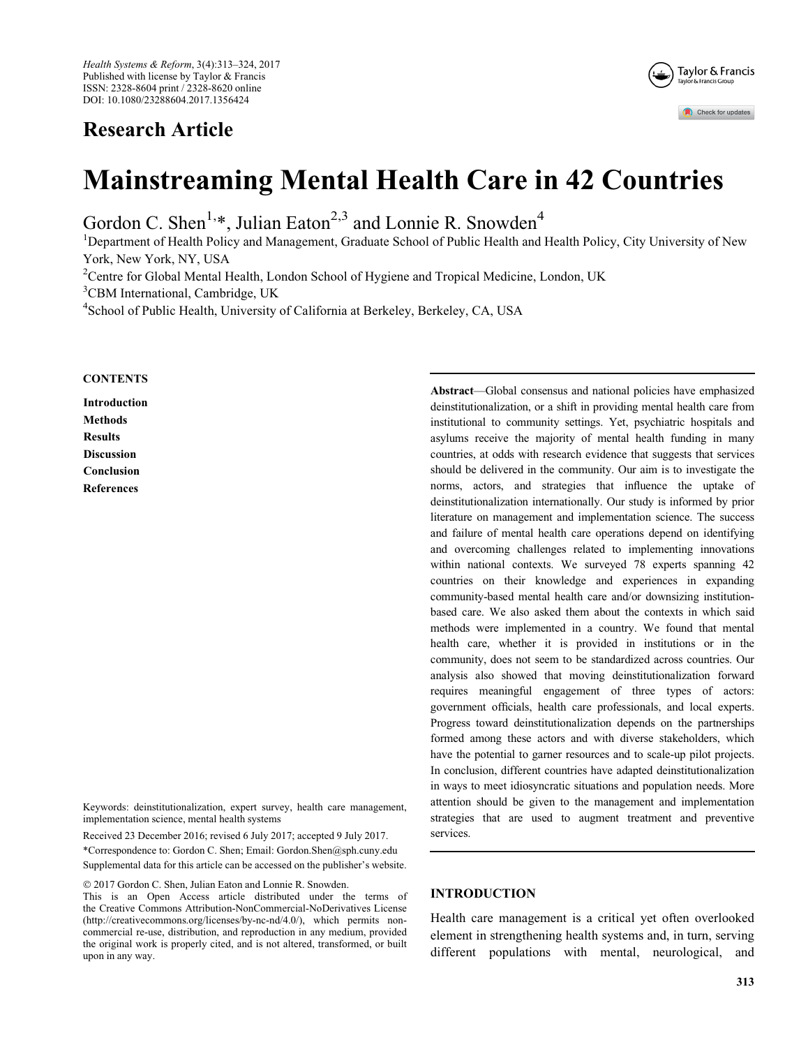## Research Article



## Mainstreaming Mental Health Care in 42 Countries

Gordon C. Shen<sup>1,\*</sup>, Julian Eaton<sup>2,3</sup> and Lonnie R. Snowden<sup>4</sup>

<sup>1</sup>Department of Health Policy and Management, Graduate School of Public Health and Health Policy, City University of New York, New York, NY, USA

<sup>2</sup>Centre for Global Mental Health, London School of Hygiene and Tropical Medicine, London, UK

<sup>3</sup>CBM International, Cambridge, UK

<sup>4</sup>School of Public Health, University of California at Berkeley, Berkeley, CA, USA

#### **CONTENTS**

Introduction **Methods** Results Discussion Conclusion References

upon in any way.

Keywords: deinstitutionalization, expert survey, health care management, implementation science, mental health systems

Received 23 December 2016; revised 6 July 2017; accepted 9 July 2017. \*Correspondence to: Gordon C. Shen; Email: Gordon.Shen@sph.cuny.edu Supplemental data for this article can be accessed on the [publisher's website.](http://www.tandfonline.com/khsr)

commercial re-use, distribution, and reproduction in any medium, provided the original work is properly cited, and is not altered, transformed, or built

 2017 Gordon C. Shen, Julian Eaton and Lonnie R. Snowden. This is an Open Access article distributed under the terms of the Creative Commons Attribution-NonCommercial-NoDerivatives License [\(http://creativecommons.org/licenses/by-nc-nd/4.0/](http://creativecommons.org/licenses/by-nc-nd/4.0/)), which permits nonAbstract—Global consensus and national policies have emphasized deinstitutionalization, or a shift in providing mental health care from institutional to community settings. Yet, psychiatric hospitals and asylums receive the majority of mental health funding in many countries, at odds with research evidence that suggests that services should be delivered in the community. Our aim is to investigate the norms, actors, and strategies that influence the uptake of deinstitutionalization internationally. Our study is informed by prior literature on management and implementation science. The success and failure of mental health care operations depend on identifying and overcoming challenges related to implementing innovations within national contexts. We surveyed 78 experts spanning 42 countries on their knowledge and experiences in expanding community-based mental health care and/or downsizing institutionbased care. We also asked them about the contexts in which said methods were implemented in a country. We found that mental health care, whether it is provided in institutions or in the community, does not seem to be standardized across countries. Our analysis also showed that moving deinstitutionalization forward requires meaningful engagement of three types of actors: government officials, health care professionals, and local experts. Progress toward deinstitutionalization depends on the partnerships formed among these actors and with diverse stakeholders, which have the potential to garner resources and to scale-up pilot projects. In conclusion, different countries have adapted deinstitutionalization in ways to meet idiosyncratic situations and population needs. More attention should be given to the management and implementation strategies that are used to augment treatment and preventive services.

## INTRODUCTION

Health care management is a critical yet often overlooked element in strengthening health systems and, in turn, serving different populations with mental, neurological, and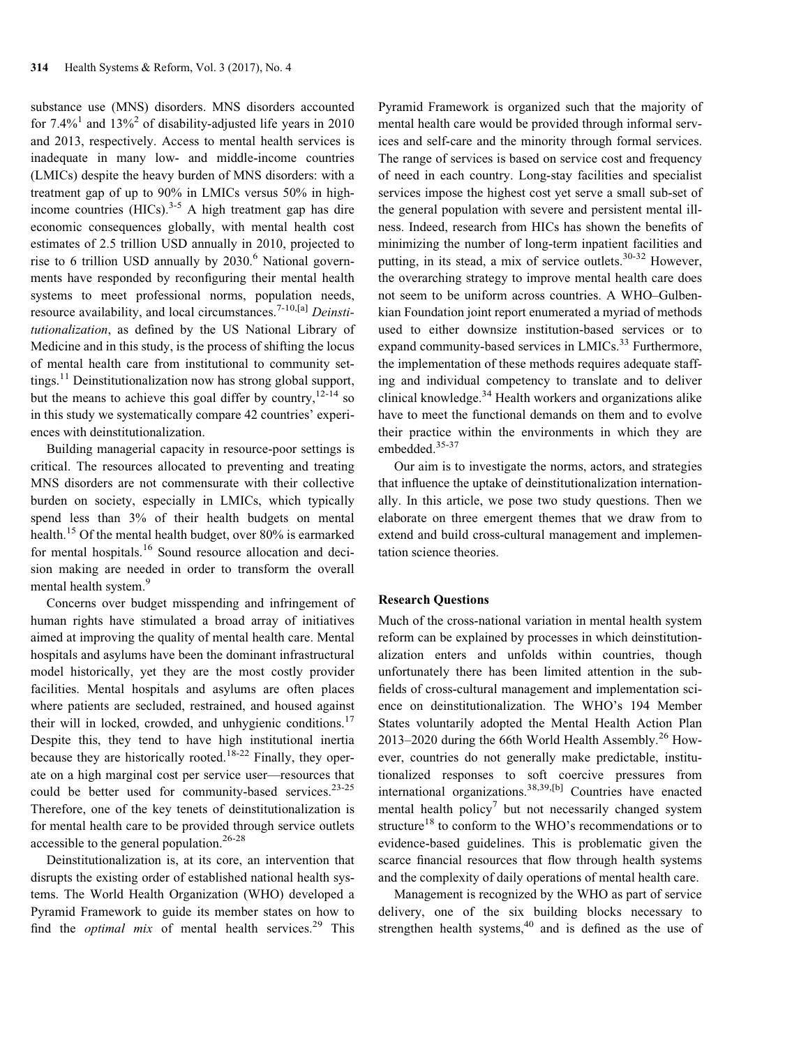substance use (MNS) disorders. MNS disorders accounted for  $7.4\%$ <sup>1</sup> and  $13\%$ <sup>2</sup> of disability-adjusted life years in 2010 and 2013, respectively. Access to mental health services is inadequate in many low- and middle-income countries (LMICs) despite the heavy burden of MNS disorders: with a treatment gap of up to 90% in LMICs versus 50% in highincome countries  $(HICs)$ .<sup>3-5</sup> A high treatment gap has dire economic consequences globally, with mental health cost estimates of 2.5 trillion USD annually in 2010, projected to rise to 6 trillion USD annually by  $2030$ .<sup>6</sup> National governments have responded by reconfiguring their mental health systems to meet professional norms, population needs, resource availability, and local circumstances.<sup>7-10,[a]</sup> Deinstitutionalization, as defined by the US National Library of Medicine and in this study, is the process of shifting the locus of mental health care from institutional to community settings.<sup>11</sup> Deinstitutionalization now has strong global support, but the means to achieve this goal differ by country,  $12-14$  so in this study we systematically compare 42 countries' experiences with deinstitutionalization.

Building managerial capacity in resource-poor settings is critical. The resources allocated to preventing and treating MNS disorders are not commensurate with their collective burden on society, especially in LMICs, which typically spend less than 3% of their health budgets on mental health.15 Of the mental health budget, over 80% is earmarked for mental hospitals.<sup>16</sup> Sound resource allocation and decision making are needed in order to transform the overall mental health system.<sup>9</sup>

Concerns over budget misspending and infringement of human rights have stimulated a broad array of initiatives aimed at improving the quality of mental health care. Mental hospitals and asylums have been the dominant infrastructural model historically, yet they are the most costly provider facilities. Mental hospitals and asylums are often places where patients are secluded, restrained, and housed against their will in locked, crowded, and unhygienic conditions.<sup>17</sup> Despite this, they tend to have high institutional inertia because they are historically rooted.<sup>18-22</sup> Finally, they operate on a high marginal cost per service user—resources that could be better used for community-based services.<sup>23-25</sup> Therefore, one of the key tenets of deinstitutionalization is for mental health care to be provided through service outlets accessible to the general population.<sup>26-28</sup>

Deinstitutionalization is, at its core, an intervention that disrupts the existing order of established national health systems. The World Health Organization (WHO) developed a Pyramid Framework to guide its member states on how to find the *optimal mix* of mental health services.<sup>29</sup> This Pyramid Framework is organized such that the majority of mental health care would be provided through informal services and self-care and the minority through formal services. The range of services is based on service cost and frequency of need in each country. Long-stay facilities and specialist services impose the highest cost yet serve a small sub-set of the general population with severe and persistent mental illness. Indeed, research from HICs has shown the benefits of minimizing the number of long-term inpatient facilities and putting, in its stead, a mix of service outlets. $30-32$  However, the overarching strategy to improve mental health care does not seem to be uniform across countries. A WHO–Gulbenkian Foundation joint report enumerated a myriad of methods used to either downsize institution-based services or to expand community-based services in LMICs.<sup>33</sup> Furthermore, the implementation of these methods requires adequate staffing and individual competency to translate and to deliver clinical knowledge.<sup>34</sup> Health workers and organizations alike have to meet the functional demands on them and to evolve their practice within the environments in which they are embedded.<sup>35-37</sup>

Our aim is to investigate the norms, actors, and strategies that influence the uptake of deinstitutionalization internationally. In this article, we pose two study questions. Then we elaborate on three emergent themes that we draw from to extend and build cross-cultural management and implementation science theories.

#### Research Questions

Much of the cross-national variation in mental health system reform can be explained by processes in which deinstitutionalization enters and unfolds within countries, though unfortunately there has been limited attention in the subfields of cross-cultural management and implementation science on deinstitutionalization. The WHO's 194 Member States voluntarily adopted the Mental Health Action Plan 2013–2020 during the 66th World Health Assembly.<sup>26</sup> However, countries do not generally make predictable, institutionalized responses to soft coercive pressures from international organizations.38,39,[b] Countries have enacted mental health policy<sup>7</sup> but not necessarily changed system structure<sup>18</sup> to conform to the WHO's recommendations or to evidence-based guidelines. This is problematic given the scarce financial resources that flow through health systems and the complexity of daily operations of mental health care.

Management is recognized by the WHO as part of service delivery, one of the six building blocks necessary to strengthen health systems, $40$  and is defined as the use of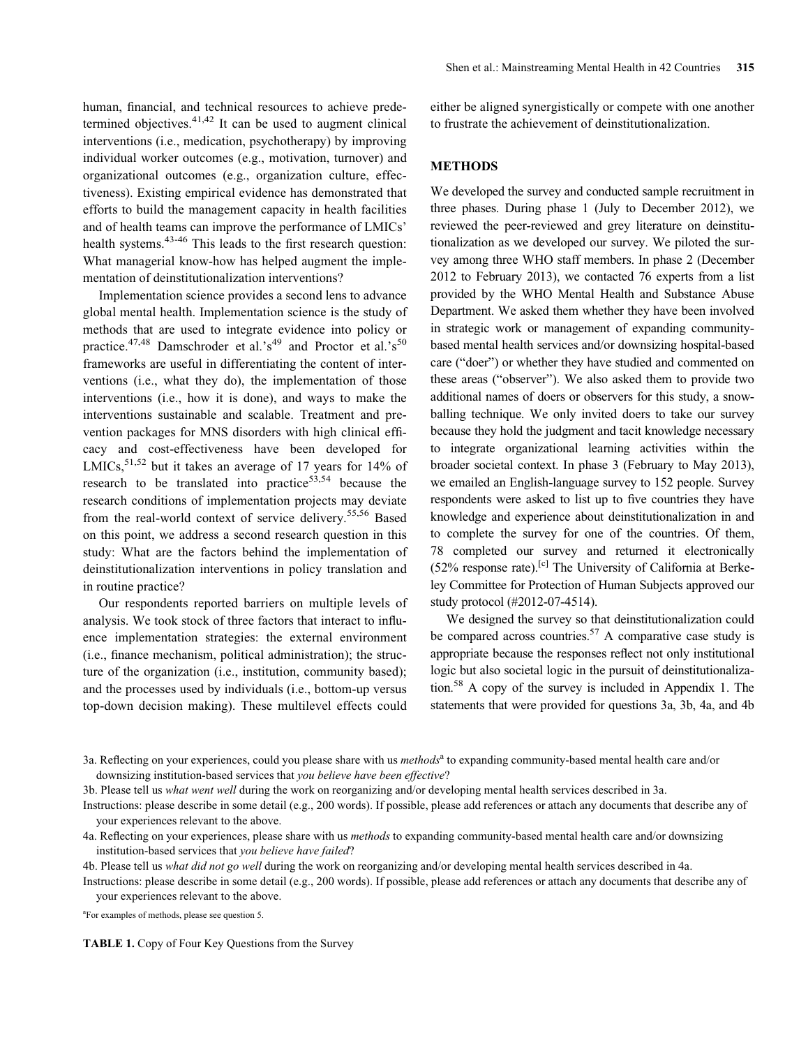human, financial, and technical resources to achieve predetermined objectives.  $41,42$  It can be used to augment clinical interventions (i.e., medication, psychotherapy) by improving individual worker outcomes (e.g., motivation, turnover) and organizational outcomes (e.g., organization culture, effectiveness). Existing empirical evidence has demonstrated that efforts to build the management capacity in health facilities and of health teams can improve the performance of LMICs' health systems.<sup>43-46</sup> This leads to the first research question: What managerial know-how has helped augment the implementation of deinstitutionalization interventions?

Implementation science provides a second lens to advance global mental health. Implementation science is the study of methods that are used to integrate evidence into policy or practice.<sup>47,48</sup> Damschroder et al.'s<sup>49</sup> and Proctor et al.'s<sup>50</sup> frameworks are useful in differentiating the content of interventions (i.e., what they do), the implementation of those interventions (i.e., how it is done), and ways to make the interventions sustainable and scalable. Treatment and prevention packages for MNS disorders with high clinical efficacy and cost-effectiveness have been developed for LMICs,  $51,52$  but it takes an average of 17 years for 14% of research to be translated into practice $53,54$  because the research conditions of implementation projects may deviate from the real-world context of service delivery.<sup>55,56</sup> Based on this point, we address a second research question in this study: What are the factors behind the implementation of deinstitutionalization interventions in policy translation and in routine practice?

Our respondents reported barriers on multiple levels of analysis. We took stock of three factors that interact to influence implementation strategies: the external environment (i.e., finance mechanism, political administration); the structure of the organization (i.e., institution, community based); and the processes used by individuals (i.e., bottom-up versus top-down decision making). These multilevel effects could either be aligned synergistically or compete with one another to frustrate the achievement of deinstitutionalization.

## METHODS

We developed the survey and conducted sample recruitment in three phases. During phase 1 (July to December 2012), we reviewed the peer-reviewed and grey literature on deinstitutionalization as we developed our survey. We piloted the survey among three WHO staff members. In phase 2 (December 2012 to February 2013), we contacted 76 experts from a list provided by the WHO Mental Health and Substance Abuse Department. We asked them whether they have been involved in strategic work or management of expanding communitybased mental health services and/or downsizing hospital-based care ("doer") or whether they have studied and commented on these areas ("observer"). We also asked them to provide two additional names of doers or observers for this study, a snowballing technique. We only invited doers to take our survey because they hold the judgment and tacit knowledge necessary to integrate organizational learning activities within the broader societal context. In phase 3 (February to May 2013), we emailed an English-language survey to 152 people. Survey respondents were asked to list up to five countries they have knowledge and experience about deinstitutionalization in and to complete the survey for one of the countries. Of them, 78 completed our survey and returned it electronically (52% response rate).<sup>[c]</sup> The University of California at Berkeley Committee for Protection of Human Subjects approved our study protocol (#2012-07-4514).

We designed the survey so that deinstitutionalization could be compared across countries. $57$  A comparative case study is appropriate because the responses reflect not only institutional logic but also societal logic in the pursuit of deinstitutionalization.58 A copy of the survey is included in Appendix 1. The statements that were provided for questions 3a, 3b, 4a, and 4b

a For examples of methods, please see question 5.

TABLE 1. Copy of Four Key Questions from the Survey

<sup>3</sup>a. Reflecting on your experiences, could you please share with us *methods*<sup>a</sup> to expanding community-based mental health care and/or downsizing institution-based services that you believe have been effective?

<sup>3</sup>b. Please tell us what went well during the work on reorganizing and/or developing mental health services described in 3a.

Instructions: please describe in some detail (e.g., 200 words). If possible, please add references or attach any documents that describe any of your experiences relevant to the above.

<sup>4</sup>a. Reflecting on your experiences, please share with us *methods* to expanding community-based mental health care and/or downsizing institution-based services that you believe have failed?

<sup>4</sup>b. Please tell us what did not go well during the work on reorganizing and/or developing mental health services described in 4a.

Instructions: please describe in some detail (e.g., 200 words). If possible, please add references or attach any documents that describe any of your experiences relevant to the above.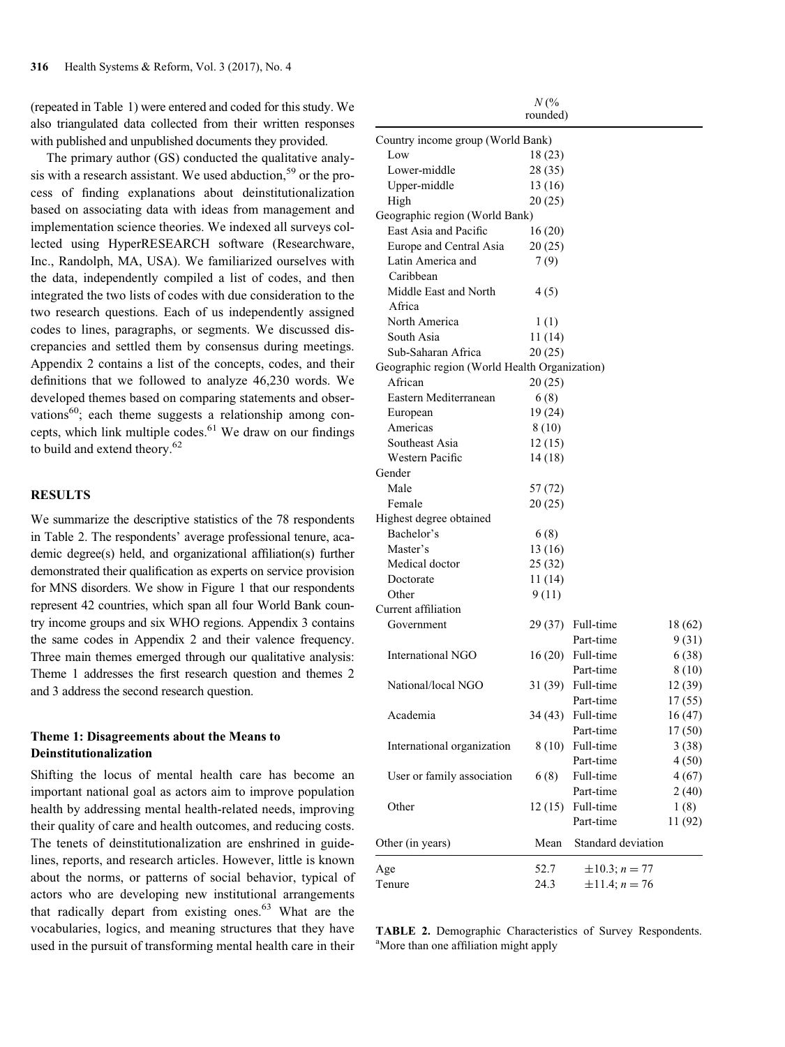(repeated in Table 1) were entered and coded for this study. We also triangulated data collected from their written responses with published and unpublished documents they provided.

The primary author (GS) conducted the qualitative analysis with a research assistant. We used abduction,<sup>59</sup> or the process of finding explanations about deinstitutionalization based on associating data with ideas from management and implementation science theories. We indexed all surveys collected using HyperRESEARCH software (Researchware, Inc., Randolph, MA, USA). We familiarized ourselves with the data, independently compiled a list of codes, and then integrated the two lists of codes with due consideration to the two research questions. Each of us independently assigned codes to lines, paragraphs, or segments. We discussed discrepancies and settled them by consensus during meetings. Appendix 2 contains a list of the concepts, codes, and their definitions that we followed to analyze 46,230 words. We developed themes based on comparing statements and observations $^{60}$ ; each theme suggests a relationship among concepts, which link multiple codes. $61$  We draw on our findings to build and extend theory.<sup>62</sup>

## RESULTS

We summarize the descriptive statistics of the 78 respondents in Table 2. The respondents' average professional tenure, academic degree(s) held, and organizational affiliation(s) further demonstrated their qualification as experts on service provision for MNS disorders. We show in Figure 1 that our respondents represent 42 countries, which span all four World Bank country income groups and six WHO regions. Appendix 3 contains the same codes in Appendix 2 and their valence frequency. Three main themes emerged through our qualitative analysis: Theme 1 addresses the first research question and themes 2 and 3 address the second research question.

## Theme 1: Disagreements about the Means to Deinstitutionalization

Shifting the locus of mental health care has become an important national goal as actors aim to improve population health by addressing mental health-related needs, improving their quality of care and health outcomes, and reducing costs. The tenets of deinstitutionalization are enshrined in guidelines, reports, and research articles. However, little is known about the norms, or patterns of social behavior, typical of actors who are developing new institutional arrangements that radically depart from existing ones.<sup>63</sup> What are the vocabularies, logics, and meaning structures that they have used in the pursuit of transforming mental health care in their

|                                               | N(%      |                    |         |
|-----------------------------------------------|----------|--------------------|---------|
|                                               | rounded) |                    |         |
| Country income group (World Bank)             |          |                    |         |
| Low                                           | 18(23)   |                    |         |
| Lower-middle                                  | 28 (35)  |                    |         |
| Upper-middle                                  | 13(16)   |                    |         |
| High                                          | 20(25)   |                    |         |
| Geographic region (World Bank)                |          |                    |         |
| East Asia and Pacific                         | 16(20)   |                    |         |
| Europe and Central Asia                       | 20(25)   |                    |         |
| Latin America and                             | 7(9)     |                    |         |
| Caribbean                                     |          |                    |         |
| Middle East and North                         |          |                    |         |
|                                               | 4(5)     |                    |         |
| Africa                                        |          |                    |         |
| North America                                 | 1(1)     |                    |         |
| South Asia                                    | 11(14)   |                    |         |
| Sub-Saharan Africa                            | 20(25)   |                    |         |
| Geographic region (World Health Organization) |          |                    |         |
| African                                       | 20(25)   |                    |         |
| Eastern Mediterranean                         | 6(8)     |                    |         |
| European                                      | 19 (24)  |                    |         |
| Americas                                      | 8 (10)   |                    |         |
| Southeast Asia                                | 12(15)   |                    |         |
| Western Pacific                               | 14 (18)  |                    |         |
| Gender                                        |          |                    |         |
| Male                                          | 57 (72)  |                    |         |
| Female                                        | 20(25)   |                    |         |
| Highest degree obtained                       |          |                    |         |
| Bachelor's                                    | 6(8)     |                    |         |
| Master's                                      | 13 (16)  |                    |         |
| Medical doctor                                | 25 (32)  |                    |         |
| Doctorate                                     | 11 (14)  |                    |         |
| Other                                         | 9(11)    |                    |         |
| Current affiliation                           |          |                    |         |
| Government                                    |          | 29 (37) Full-time  | 18(62)  |
|                                               |          | Part-time          | 9(31)   |
| International NGO                             |          | $16(20)$ Full-time | 6 (38)  |
|                                               |          | Part-time          | 8 (10)  |
| National/local NGO                            |          | 31 (39) Full-time  | 12(39)  |
|                                               |          | Part-time          | 17(55)  |
| Academia                                      |          | 34 (43) Full-time  |         |
|                                               |          |                    | 16(47)  |
|                                               |          | Part-time          | 17(50)  |
| International organization                    |          | 8 (10) Full-time   | 3(38)   |
|                                               |          | Part-time          | 4(50)   |
| User or family association                    | 6(8)     | Full-time          | 4(67)   |
|                                               |          | Part-time          | 2(40)   |
| Other                                         |          | 12 (15) Full-time  | 1(8)    |
|                                               |          | Part-time          | 11 (92) |
| Other (in years)                              | Mean     | Standard deviation |         |
|                                               |          |                    |         |
| Age                                           | 52.7     | $\pm 10.3; n = 77$ |         |
| Tenure                                        | 24.3     | $\pm 11.4; n = 76$ |         |

TABLE 2. Demographic Characteristics of Survey Respondents. <sup>a</sup>More than one affiliation might apply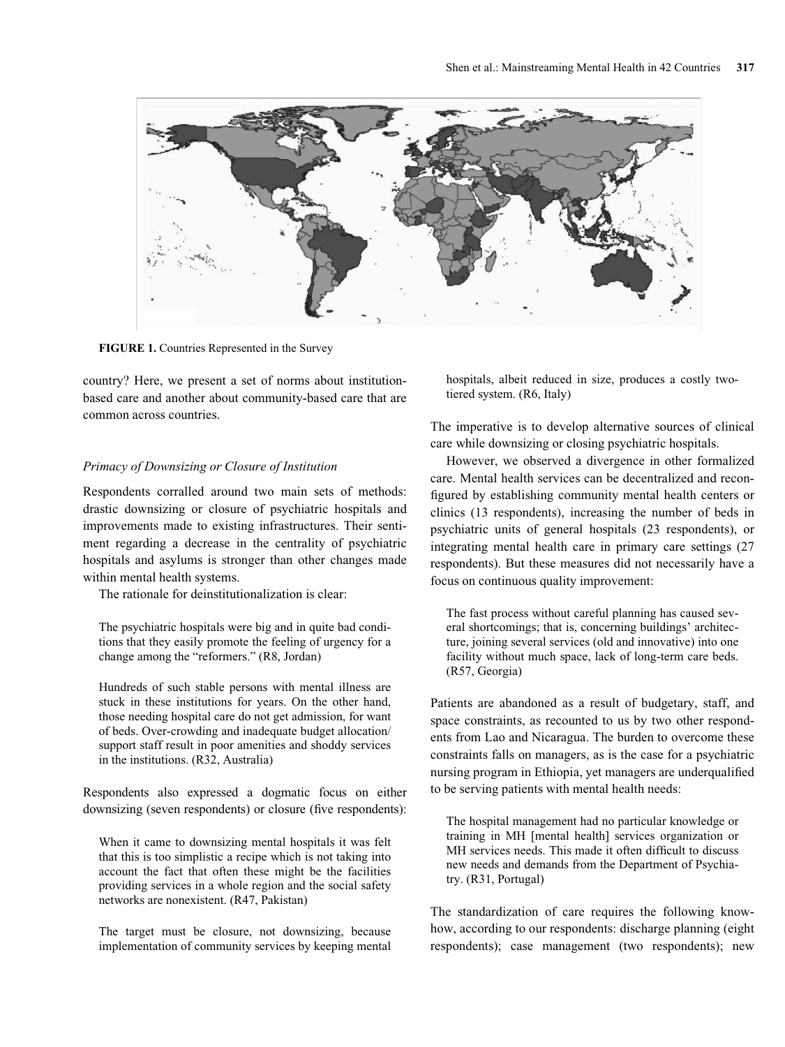

FIGURE 1. Countries Represented in the Survey

country? Here, we present a set of norms about institutionbased care and another about community-based care that are common across countries.

#### Primacy of Downsizing or Closure of Institution

Respondents corralled around two main sets of methods: drastic downsizing or closure of psychiatric hospitals and improvements made to existing infrastructures. Their sentiment regarding a decrease in the centrality of psychiatric hospitals and asylums is stronger than other changes made within mental health systems.

The rationale for deinstitutionalization is clear:

The psychiatric hospitals were big and in quite bad conditions that they easily promote the feeling of urgency for a change among the "reformers." (R8, Jordan)

Hundreds of such stable persons with mental illness are stuck in these institutions for years. On the other hand, those needing hospital care do not get admission, for want of beds. Over-crowding and inadequate budget allocation/ support staff result in poor amenities and shoddy services in the institutions. (R32, Australia)

Respondents also expressed a dogmatic focus on either downsizing (seven respondents) or closure (five respondents):

When it came to downsizing mental hospitals it was felt that this is too simplistic a recipe which is not taking into account the fact that often these might be the facilities providing services in a whole region and the social safety networks are nonexistent. (R47, Pakistan)

The target must be closure, not downsizing, because implementation of community services by keeping mental hospitals, albeit reduced in size, produces a costly twotiered system. (R6, Italy)

The imperative is to develop alternative sources of clinical care while downsizing or closing psychiatric hospitals.

However, we observed a divergence in other formalized care. Mental health services can be decentralized and reconfigured by establishing community mental health centers or clinics (13 respondents), increasing the number of beds in psychiatric units of general hospitals (23 respondents), or integrating mental health care in primary care settings (27 respondents). But these measures did not necessarily have a focus on continuous quality improvement:

The fast process without careful planning has caused several shortcomings; that is, concerning buildings' architecture, joining several services (old and innovative) into one facility without much space, lack of long-term care beds. (R57, Georgia)

Patients are abandoned as a result of budgetary, staff, and space constraints, as recounted to us by two other respondents from Lao and Nicaragua. The burden to overcome these constraints falls on managers, as is the case for a psychiatric nursing program in Ethiopia, yet managers are underqualified to be serving patients with mental health needs:

The hospital management had no particular knowledge or training in MH [mental health] services organization or MH services needs. This made it often difficult to discuss new needs and demands from the Department of Psychiatry. (R31, Portugal)

The standardization of care requires the following knowhow, according to our respondents: discharge planning (eight respondents); case management (two respondents); new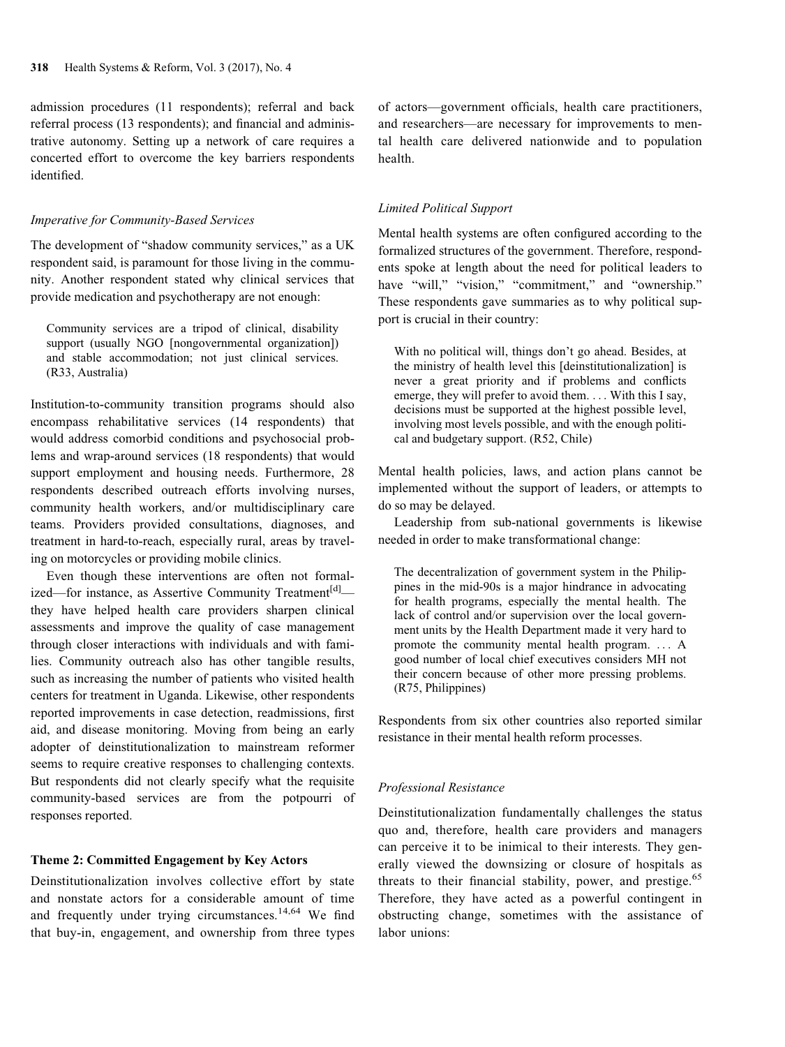admission procedures (11 respondents); referral and back referral process (13 respondents); and financial and administrative autonomy. Setting up a network of care requires a concerted effort to overcome the key barriers respondents identified.

#### Imperative for Community-Based Services

The development of "shadow community services," as a UK respondent said, is paramount for those living in the community. Another respondent stated why clinical services that provide medication and psychotherapy are not enough:

Community services are a tripod of clinical, disability support (usually NGO [nongovernmental organization]) and stable accommodation; not just clinical services. (R33, Australia)

Institution-to-community transition programs should also encompass rehabilitative services (14 respondents) that would address comorbid conditions and psychosocial problems and wrap-around services (18 respondents) that would support employment and housing needs. Furthermore, 28 respondents described outreach efforts involving nurses, community health workers, and/or multidisciplinary care teams. Providers provided consultations, diagnoses, and treatment in hard-to-reach, especially rural, areas by traveling on motorcycles or providing mobile clinics.

Even though these interventions are often not formalized—for instance, as Assertive Community Treatment<sup>[d]</sup> they have helped health care providers sharpen clinical assessments and improve the quality of case management through closer interactions with individuals and with families. Community outreach also has other tangible results, such as increasing the number of patients who visited health centers for treatment in Uganda. Likewise, other respondents reported improvements in case detection, readmissions, first aid, and disease monitoring. Moving from being an early adopter of deinstitutionalization to mainstream reformer seems to require creative responses to challenging contexts. But respondents did not clearly specify what the requisite community-based services are from the potpourri of responses reported.

#### Theme 2: Committed Engagement by Key Actors

Deinstitutionalization involves collective effort by state and nonstate actors for a considerable amount of time and frequently under trying circumstances.<sup>14,64</sup> We find that buy-in, engagement, and ownership from three types of actors—government officials, health care practitioners, and researchers—are necessary for improvements to mental health care delivered nationwide and to population health.

#### Limited Political Support

Mental health systems are often configured according to the formalized structures of the government. Therefore, respondents spoke at length about the need for political leaders to have "will," "vision," "commitment," and "ownership." These respondents gave summaries as to why political support is crucial in their country:

With no political will, things don't go ahead. Besides, at the ministry of health level this [deinstitutionalization] is never a great priority and if problems and conflicts emerge, they will prefer to avoid them. ... With this I say, decisions must be supported at the highest possible level, involving most levels possible, and with the enough political and budgetary support. (R52, Chile)

Mental health policies, laws, and action plans cannot be implemented without the support of leaders, or attempts to do so may be delayed.

Leadership from sub-national governments is likewise needed in order to make transformational change:

The decentralization of government system in the Philippines in the mid-90s is a major hindrance in advocating for health programs, especially the mental health. The lack of control and/or supervision over the local government units by the Health Department made it very hard to promote the community mental health program. ... A good number of local chief executives considers MH not their concern because of other more pressing problems. (R75, Philippines)

Respondents from six other countries also reported similar resistance in their mental health reform processes.

#### Professional Resistance

Deinstitutionalization fundamentally challenges the status quo and, therefore, health care providers and managers can perceive it to be inimical to their interests. They generally viewed the downsizing or closure of hospitals as threats to their financial stability, power, and prestige. $65$ Therefore, they have acted as a powerful contingent in obstructing change, sometimes with the assistance of labor unions: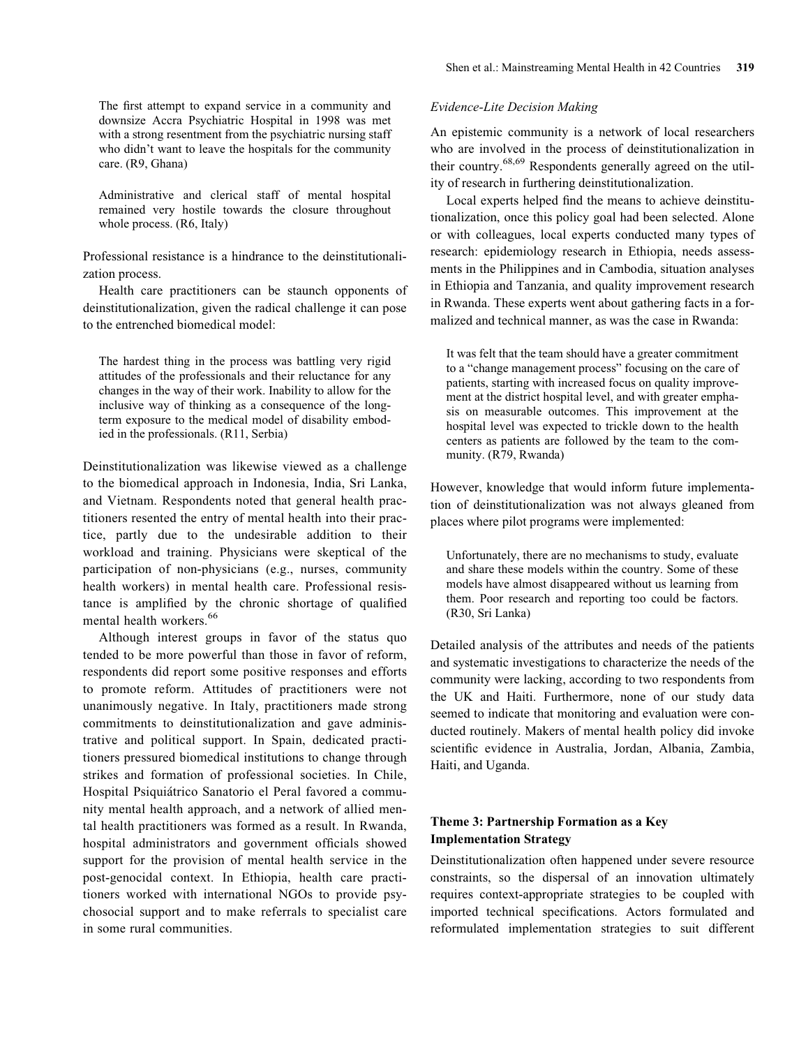The first attempt to expand service in a community and downsize Accra Psychiatric Hospital in 1998 was met with a strong resentment from the psychiatric nursing staff who didn't want to leave the hospitals for the community care. (R9, Ghana)

Administrative and clerical staff of mental hospital remained very hostile towards the closure throughout whole process. (R6, Italy)

Professional resistance is a hindrance to the deinstitutionalization process.

Health care practitioners can be staunch opponents of deinstitutionalization, given the radical challenge it can pose to the entrenched biomedical model:

The hardest thing in the process was battling very rigid attitudes of the professionals and their reluctance for any changes in the way of their work. Inability to allow for the inclusive way of thinking as a consequence of the longterm exposure to the medical model of disability embodied in the professionals. (R11, Serbia)

Deinstitutionalization was likewise viewed as a challenge to the biomedical approach in Indonesia, India, Sri Lanka, and Vietnam. Respondents noted that general health practitioners resented the entry of mental health into their practice, partly due to the undesirable addition to their workload and training. Physicians were skeptical of the participation of non-physicians (e.g., nurses, community health workers) in mental health care. Professional resistance is amplified by the chronic shortage of qualified mental health workers.<sup>66</sup>

Although interest groups in favor of the status quo tended to be more powerful than those in favor of reform, respondents did report some positive responses and efforts to promote reform. Attitudes of practitioners were not unanimously negative. In Italy, practitioners made strong commitments to deinstitutionalization and gave administrative and political support. In Spain, dedicated practitioners pressured biomedical institutions to change through strikes and formation of professional societies. In Chile, Hospital Psiquiátrico Sanatorio el Peral favored a community mental health approach, and a network of allied mental health practitioners was formed as a result. In Rwanda, hospital administrators and government officials showed support for the provision of mental health service in the post-genocidal context. In Ethiopia, health care practitioners worked with international NGOs to provide psychosocial support and to make referrals to specialist care in some rural communities.

#### Evidence-Lite Decision Making

An epistemic community is a network of local researchers who are involved in the process of deinstitutionalization in their country.68,69 Respondents generally agreed on the utility of research in furthering deinstitutionalization.

Local experts helped find the means to achieve deinstitutionalization, once this policy goal had been selected. Alone or with colleagues, local experts conducted many types of research: epidemiology research in Ethiopia, needs assessments in the Philippines and in Cambodia, situation analyses in Ethiopia and Tanzania, and quality improvement research in Rwanda. These experts went about gathering facts in a formalized and technical manner, as was the case in Rwanda:

It was felt that the team should have a greater commitment to a "change management process" focusing on the care of patients, starting with increased focus on quality improvement at the district hospital level, and with greater emphasis on measurable outcomes. This improvement at the hospital level was expected to trickle down to the health centers as patients are followed by the team to the community. (R79, Rwanda)

However, knowledge that would inform future implementation of deinstitutionalization was not always gleaned from places where pilot programs were implemented:

Unfortunately, there are no mechanisms to study, evaluate and share these models within the country. Some of these models have almost disappeared without us learning from them. Poor research and reporting too could be factors. (R30, Sri Lanka)

Detailed analysis of the attributes and needs of the patients and systematic investigations to characterize the needs of the community were lacking, according to two respondents from the UK and Haiti. Furthermore, none of our study data seemed to indicate that monitoring and evaluation were conducted routinely. Makers of mental health policy did invoke scientific evidence in Australia, Jordan, Albania, Zambia, Haiti, and Uganda.

## Theme 3: Partnership Formation as a Key Implementation Strategy

Deinstitutionalization often happened under severe resource constraints, so the dispersal of an innovation ultimately requires context-appropriate strategies to be coupled with imported technical specifications. Actors formulated and reformulated implementation strategies to suit different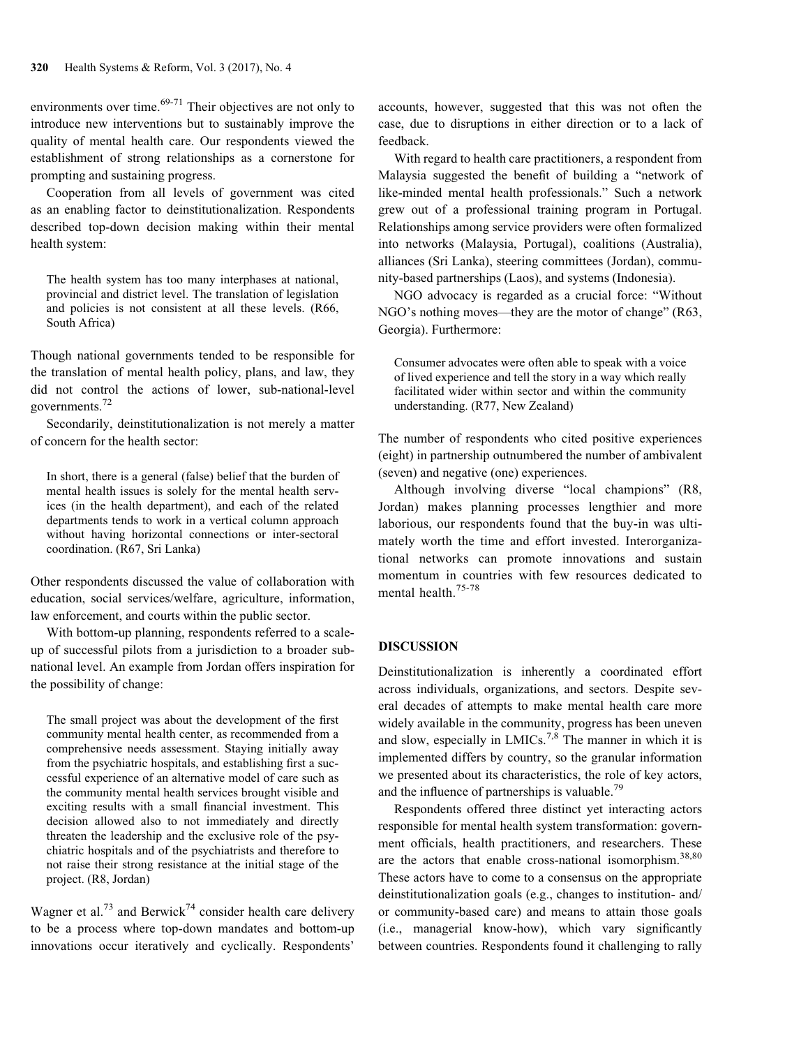environments over time. $69-71$  Their objectives are not only to introduce new interventions but to sustainably improve the quality of mental health care. Our respondents viewed the establishment of strong relationships as a cornerstone for prompting and sustaining progress.

Cooperation from all levels of government was cited as an enabling factor to deinstitutionalization. Respondents described top-down decision making within their mental health system:

The health system has too many interphases at national, provincial and district level. The translation of legislation and policies is not consistent at all these levels. (R66, South Africa)

Though national governments tended to be responsible for the translation of mental health policy, plans, and law, they did not control the actions of lower, sub-national-level governments.<sup>72</sup>

Secondarily, deinstitutionalization is not merely a matter of concern for the health sector:

In short, there is a general (false) belief that the burden of mental health issues is solely for the mental health services (in the health department), and each of the related departments tends to work in a vertical column approach without having horizontal connections or inter-sectoral coordination. (R67, Sri Lanka)

Other respondents discussed the value of collaboration with education, social services/welfare, agriculture, information, law enforcement, and courts within the public sector.

With bottom-up planning, respondents referred to a scaleup of successful pilots from a jurisdiction to a broader subnational level. An example from Jordan offers inspiration for the possibility of change:

The small project was about the development of the first community mental health center, as recommended from a comprehensive needs assessment. Staying initially away from the psychiatric hospitals, and establishing first a successful experience of an alternative model of care such as the community mental health services brought visible and exciting results with a small financial investment. This decision allowed also to not immediately and directly threaten the leadership and the exclusive role of the psychiatric hospitals and of the psychiatrists and therefore to not raise their strong resistance at the initial stage of the project. (R8, Jordan)

Wagner et al.<sup>73</sup> and Berwick<sup>74</sup> consider health care delivery to be a process where top-down mandates and bottom-up innovations occur iteratively and cyclically. Respondents'

accounts, however, suggested that this was not often the case, due to disruptions in either direction or to a lack of feedback.

With regard to health care practitioners, a respondent from Malaysia suggested the benefit of building a "network of like-minded mental health professionals." Such a network grew out of a professional training program in Portugal. Relationships among service providers were often formalized into networks (Malaysia, Portugal), coalitions (Australia), alliances (Sri Lanka), steering committees (Jordan), community-based partnerships (Laos), and systems (Indonesia).

NGO advocacy is regarded as a crucial force: "Without NGO's nothing moves—they are the motor of change" (R63, Georgia). Furthermore:

Consumer advocates were often able to speak with a voice of lived experience and tell the story in a way which really facilitated wider within sector and within the community understanding. (R77, New Zealand)

The number of respondents who cited positive experiences (eight) in partnership outnumbered the number of ambivalent (seven) and negative (one) experiences.

Although involving diverse "local champions" (R8, Jordan) makes planning processes lengthier and more laborious, our respondents found that the buy-in was ultimately worth the time and effort invested. Interorganizational networks can promote innovations and sustain momentum in countries with few resources dedicated to mental health.75-78

## DISCUSSION

Deinstitutionalization is inherently a coordinated effort across individuals, organizations, and sectors. Despite several decades of attempts to make mental health care more widely available in the community, progress has been uneven and slow, especially in LMICs.<sup>7,8</sup> The manner in which it is implemented differs by country, so the granular information we presented about its characteristics, the role of key actors, and the influence of partnerships is valuable.<sup>79</sup>

Respondents offered three distinct yet interacting actors responsible for mental health system transformation: government officials, health practitioners, and researchers. These are the actors that enable cross-national isomorphism.<sup>38,80</sup> These actors have to come to a consensus on the appropriate deinstitutionalization goals (e.g., changes to institution- and/ or community-based care) and means to attain those goals (i.e., managerial know-how), which vary significantly between countries. Respondents found it challenging to rally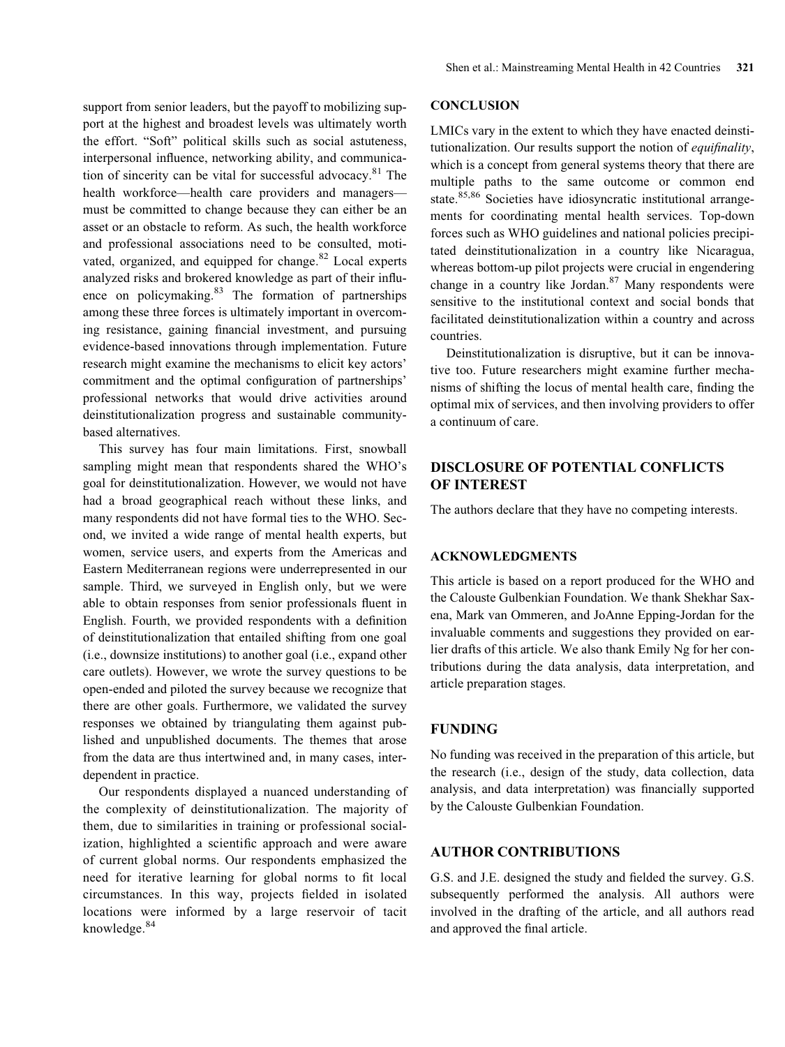support from senior leaders, but the payoff to mobilizing support at the highest and broadest levels was ultimately worth the effort. "Soft" political skills such as social astuteness, interpersonal influence, networking ability, and communication of sincerity can be vital for successful advocacy. $81$  The health workforce—health care providers and managers must be committed to change because they can either be an asset or an obstacle to reform. As such, the health workforce and professional associations need to be consulted, motivated, organized, and equipped for change. $82$  Local experts analyzed risks and brokered knowledge as part of their influence on policymaking. $83$  The formation of partnerships among these three forces is ultimately important in overcoming resistance, gaining financial investment, and pursuing evidence-based innovations through implementation. Future research might examine the mechanisms to elicit key actors' commitment and the optimal configuration of partnerships' professional networks that would drive activities around deinstitutionalization progress and sustainable communitybased alternatives.

This survey has four main limitations. First, snowball sampling might mean that respondents shared the WHO's goal for deinstitutionalization. However, we would not have had a broad geographical reach without these links, and many respondents did not have formal ties to the WHO. Second, we invited a wide range of mental health experts, but women, service users, and experts from the Americas and Eastern Mediterranean regions were underrepresented in our sample. Third, we surveyed in English only, but we were able to obtain responses from senior professionals fluent in English. Fourth, we provided respondents with a definition of deinstitutionalization that entailed shifting from one goal (i.e., downsize institutions) to another goal (i.e., expand other care outlets). However, we wrote the survey questions to be open-ended and piloted the survey because we recognize that there are other goals. Furthermore, we validated the survey responses we obtained by triangulating them against published and unpublished documents. The themes that arose from the data are thus intertwined and, in many cases, interdependent in practice.

Our respondents displayed a nuanced understanding of the complexity of deinstitutionalization. The majority of them, due to similarities in training or professional socialization, highlighted a scientific approach and were aware of current global norms. Our respondents emphasized the need for iterative learning for global norms to fit local circumstances. In this way, projects fielded in isolated locations were informed by a large reservoir of tacit knowledge.<sup>84</sup>

## **CONCLUSION**

LMICs vary in the extent to which they have enacted deinstitutionalization. Our results support the notion of *equifinality*, which is a concept from general systems theory that there are multiple paths to the same outcome or common end state.<sup>85,86</sup> Societies have idiosyncratic institutional arrangements for coordinating mental health services. Top-down forces such as WHO guidelines and national policies precipitated deinstitutionalization in a country like Nicaragua, whereas bottom-up pilot projects were crucial in engendering change in a country like Jordan. $87$  Many respondents were sensitive to the institutional context and social bonds that facilitated deinstitutionalization within a country and across countries.

Deinstitutionalization is disruptive, but it can be innovative too. Future researchers might examine further mechanisms of shifting the locus of mental health care, finding the optimal mix of services, and then involving providers to offer a continuum of care.

## DISCLOSURE OF POTENTIAL CONFLICTS OF INTEREST

The authors declare that they have no competing interests.

#### ACKNOWLEDGMENTS

This article is based on a report produced for the WHO and the Calouste Gulbenkian Foundation. We thank Shekhar Saxena, Mark van Ommeren, and JoAnne Epping-Jordan for the invaluable comments and suggestions they provided on earlier drafts of this article. We also thank Emily Ng for her contributions during the data analysis, data interpretation, and article preparation stages.

## FUNDING

No funding was received in the preparation of this article, but the research (i.e., design of the study, data collection, data analysis, and data interpretation) was financially supported by the Calouste Gulbenkian Foundation.

## AUTHOR CONTRIBUTIONS

G.S. and J.E. designed the study and fielded the survey. G.S. subsequently performed the analysis. All authors were involved in the drafting of the article, and all authors read and approved the final article.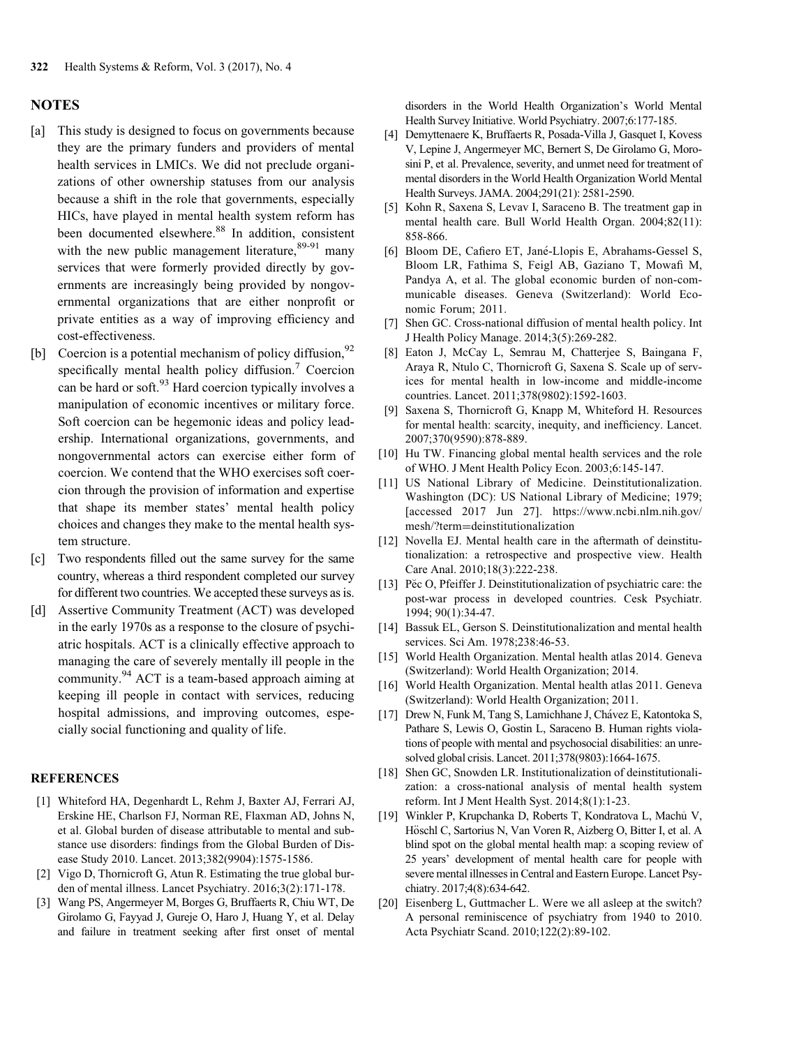## **NOTES**

- [a] This study is designed to focus on governments because they are the primary funders and providers of mental health services in LMICs. We did not preclude organizations of other ownership statuses from our analysis because a shift in the role that governments, especially HICs, have played in mental health system reform has been documented elsewhere.<sup>88</sup> In addition, consistent with the new public management literature,  $89-91$  many services that were formerly provided directly by governments are increasingly being provided by nongovernmental organizations that are either nonprofit or private entities as a way of improving efficiency and cost-effectiveness.
- [b] Coercion is a potential mechanism of policy diffusion,  $92$ specifically mental health policy diffusion.<sup>7</sup> Coercion can be hard or soft.<sup>93</sup> Hard coercion typically involves a manipulation of economic incentives or military force. Soft coercion can be hegemonic ideas and policy leadership. International organizations, governments, and nongovernmental actors can exercise either form of coercion. We contend that the WHO exercises soft coercion through the provision of information and expertise that shape its member states' mental health policy choices and changes they make to the mental health system structure.
- [c] Two respondents filled out the same survey for the same country, whereas a third respondent completed our survey for different two countries. We accepted these surveys as is.
- [d] Assertive Community Treatment (ACT) was developed in the early 1970s as a response to the closure of psychiatric hospitals. ACT is a clinically effective approach to managing the care of severely mentally ill people in the community.<sup>94</sup> ACT is a team-based approach aiming at keeping ill people in contact with services, reducing hospital admissions, and improving outcomes, especially social functioning and quality of life.

## **REFERENCES**

- [1] Whiteford HA, Degenhardt L, Rehm J, Baxter AJ, Ferrari AJ, Erskine HE, Charlson FJ, Norman RE, Flaxman AD, Johns N, et al. Global burden of disease attributable to mental and substance use disorders: findings from the Global Burden of Disease Study 2010. Lancet. 2013;382(9904):1575-1586.
- [2] Vigo D, Thornicroft G, Atun R. Estimating the true global burden of mental illness. Lancet Psychiatry. 2016;3(2):171-178.
- [3] Wang PS, Angermeyer M, Borges G, Bruffaerts R, Chiu WT, De Girolamo G, Fayyad J, Gureje O, Haro J, Huang Y, et al. Delay and failure in treatment seeking after first onset of mental

disorders in the World Health Organization's World Mental Health Survey Initiative. World Psychiatry. 2007;6:177-185.

- [4] Demyttenaere K, Bruffaerts R, Posada-Villa J, Gasquet I, Kovess V, Lepine J, Angermeyer MC, Bernert S, De Girolamo G, Morosini P, et al. Prevalence, severity, and unmet need for treatment of mental disorders in the World Health Organization World Mental Health Surveys. JAMA. 2004;291(21): 2581-2590.
- [5] Kohn R, Saxena S, Levav I, Saraceno B. The treatment gap in mental health care. Bull World Health Organ. 2004;82(11): 858-866.
- [6] Bloom DE, Cafiero ET, Jané-Llopis E, Abrahams-Gessel S, Bloom LR, Fathima S, Feigl AB, Gaziano T, Mowafi M, Pandya A, et al. The global economic burden of non-communicable diseases. Geneva (Switzerland): World Economic Forum; 2011.
- [7] Shen GC. Cross-national diffusion of mental health policy. Int J Health Policy Manage. 2014;3(5):269-282.
- [8] Eaton J, McCay L, Semrau M, Chatterjee S, Baingana F, Araya R, Ntulo C, Thornicroft G, Saxena S. Scale up of services for mental health in low-income and middle-income countries. Lancet. 2011;378(9802):1592-1603.
- [9] Saxena S, Thornicroft G, Knapp M, Whiteford H. Resources for mental health: scarcity, inequity, and inefficiency. Lancet. 2007;370(9590):878-889.
- [10] Hu TW. Financing global mental health services and the role of WHO. J Ment Health Policy Econ. 2003;6:145-147.
- [11] US National Library of Medicine. Deinstitutionalization. Washington (DC): US National Library of Medicine; 1979; [accessed 2017 Jun 27]. [https://www.ncbi.nlm.nih.gov/](https://www.ncbi.nlm.nih.gov/mesh/?term=deinstitutionalization) [mesh/?term](https://www.ncbi.nlm.nih.gov/mesh/?term=deinstitutionalization)=[deinstitutionalization](https://www.ncbi.nlm.nih.gov/mesh/?term=deinstitutionalization)
- [12] Novella EJ. Mental health care in the aftermath of deinstitutionalization: a retrospective and prospective view. Health Care Anal. 2010;18(3):222-238.
- [13] Pĕc O, Pfeiffer J. Deinstitutionalization of psychiatric care: the post-war process in developed countries. Cesk Psychiatr. 1994; 90(1):34-47.
- [14] Bassuk EL, Gerson S. Deinstitutionalization and mental health services. Sci Am. 1978;238:46-53.
- [15] World Health Organization. Mental health atlas 2014. Geneva (Switzerland): World Health Organization; 2014.
- [16] World Health Organization. Mental health atlas 2011. Geneva (Switzerland): World Health Organization; 2011.
- [17] Drew N, Funk M, Tang S, Lamichhane J, Chávez E, Katontoka S, Pathare S, Lewis O, Gostin L, Saraceno B. Human rights violations of people with mental and psychosocial disabilities: an unresolved global crisis. Lancet. 2011;378(9803):1664-1675.
- [18] Shen GC, Snowden LR. Institutionalization of deinstitutionalization: a cross-national analysis of mental health system reform. Int J Ment Health Syst. 2014;8(1):1-23.
- [19] Winkler P, Krupchanka D, Roberts T, Kondratova L, Machů V, Höschl C, Sartorius N, Van Voren R, Aizberg O, Bitter I, et al. A blind spot on the global mental health map: a scoping review of 25 years' development of mental health care for people with severe mental illnesses in Central and Eastern Europe. Lancet Psychiatry. 2017;4(8):634-642.
- [20] Eisenberg L, Guttmacher L. Were we all asleep at the switch? A personal reminiscence of psychiatry from 1940 to 2010. Acta Psychiatr Scand. 2010;122(2):89-102.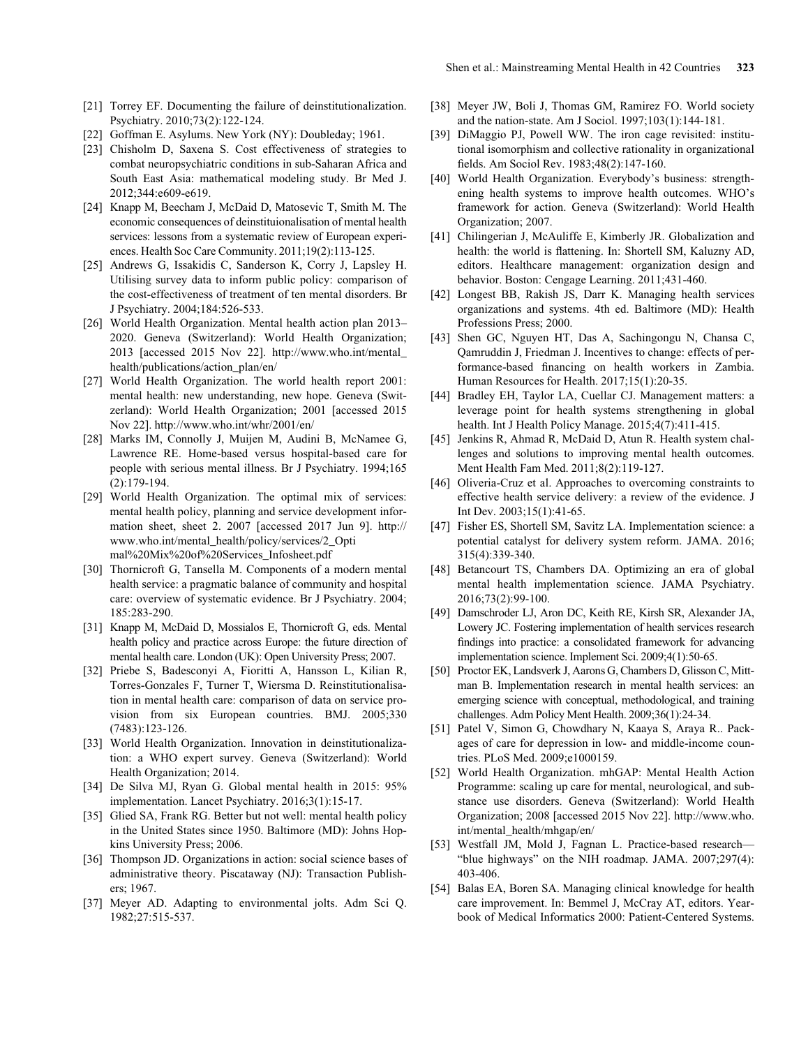- [21] Torrey EF. Documenting the failure of deinstitutionalization. Psychiatry. 2010;73(2):122-124.
- [22] Goffman E. Asylums. New York (NY): Doubleday; 1961.
- [23] Chisholm D, Saxena S. Cost effectiveness of strategies to combat neuropsychiatric conditions in sub-Saharan Africa and South East Asia: mathematical modeling study. Br Med J. 2012;344:e609-e619.
- [24] Knapp M, Beecham J, McDaid D, Matosevic T, Smith M. The economic consequences of deinstituionalisation of mental health services: lessons from a systematic review of European experiences. Health Soc Care Community. 2011;19(2):113-125.
- [25] Andrews G, Issakidis C, Sanderson K, Corry J, Lapsley H. Utilising survey data to inform public policy: comparison of the cost-effectiveness of treatment of ten mental disorders. Br J Psychiatry. 2004;184:526-533.
- [26] World Health Organization. Mental health action plan 2013– 2020. Geneva (Switzerland): World Health Organization; 2013 [accessed 2015 Nov 22]. [http://www.who.int/mental\\_](http://www.who.int/mental_health/publications/action_plan/en/) [health/publications/action\\_plan/en/](http://www.who.int/mental_health/publications/action_plan/en/)
- [27] World Health Organization. The world health report 2001: mental health: new understanding, new hope. Geneva (Switzerland): World Health Organization; 2001 [accessed 2015 Nov 22].<http://www.who.int/whr/2001/en/>
- [28] Marks IM, Connolly J, Muijen M, Audini B, McNamee G, Lawrence RE. Home-based versus hospital-based care for people with serious mental illness. Br J Psychiatry. 1994;165 (2):179-194.
- [29] World Health Organization. The optimal mix of services: mental health policy, planning and service development information sheet, sheet 2. 2007 [accessed 2017 Jun 9]. [http://](http://www.who.int/mental_health/policy/services/2_Optimal%20Mix%20of%20Services_Infosheet.pdf) [www.who.int/mental\\_health/policy/services/2\\_Opti](http://www.who.int/mental_health/policy/services/2_Optimal%20Mix%20of%20Services_Infosheet.pdf) [mal%20Mix](http://www.who.int/mental_health/policy/services/2_Optimal%20Mix%20of%20Services_Infosheet.pdf)%[20of%20Services\\_Infosheet.pdf](http://www.who.int/mental_health/policy/services/2_Optimal%20Mix%20of%20Services_Infosheet.pdf)
- [30] Thornicroft G, Tansella M. Components of a modern mental health service: a pragmatic balance of community and hospital care: overview of systematic evidence. Br J Psychiatry. 2004; 185:283-290.
- [31] Knapp M, McDaid D, Mossialos E, Thornicroft G, eds. Mental health policy and practice across Europe: the future direction of mental health care. London (UK): Open University Press; 2007.
- [32] Priebe S, Badesconyi A, Fioritti A, Hansson L, Kilian R, Torres-Gonzales F, Turner T, Wiersma D. Reinstitutionalisation in mental health care: comparison of data on service provision from six European countries. BMJ. 2005;330 (7483):123-126.
- [33] World Health Organization. Innovation in deinstitutionalization: a WHO expert survey. Geneva (Switzerland): World Health Organization; 2014.
- [34] De Silva MJ, Ryan G. Global mental health in 2015: 95% implementation. Lancet Psychiatry. 2016;3(1):15-17.
- [35] Glied SA, Frank RG. Better but not well: mental health policy in the United States since 1950. Baltimore (MD): Johns Hopkins University Press; 2006.
- [36] Thompson JD. Organizations in action: social science bases of administrative theory. Piscataway (NJ): Transaction Publishers; 1967.
- [37] Meyer AD. Adapting to environmental jolts. Adm Sci Q. 1982;27:515-537.
- [38] Meyer JW, Boli J, Thomas GM, Ramirez FO. World society and the nation-state. Am J Sociol. 1997;103(1):144-181.
- [39] DiMaggio PJ, Powell WW. The iron cage revisited: institutional isomorphism and collective rationality in organizational fields. Am Sociol Rev. 1983;48(2):147-160.
- [40] World Health Organization. Everybody's business: strengthening health systems to improve health outcomes. WHO's framework for action. Geneva (Switzerland): World Health Organization; 2007.
- [41] Chilingerian J, McAuliffe E, Kimberly JR. Globalization and health: the world is flattening. In: Shortell SM, Kaluzny AD, editors. Healthcare management: organization design and behavior. Boston: Cengage Learning. 2011;431-460.
- [42] Longest BB, Rakish JS, Darr K. Managing health services organizations and systems. 4th ed. Baltimore (MD): Health Professions Press; 2000.
- [43] Shen GC, Nguyen HT, Das A, Sachingongu N, Chansa C, Qamruddin J, Friedman J. Incentives to change: effects of performance-based financing on health workers in Zambia. Human Resources for Health. 2017;15(1):20-35.
- [44] Bradley EH, Taylor LA, Cuellar CJ. Management matters: a leverage point for health systems strengthening in global health. Int J Health Policy Manage. 2015;4(7):411-415.
- [45] Jenkins R, Ahmad R, McDaid D, Atun R. Health system challenges and solutions to improving mental health outcomes. Ment Health Fam Med. 2011;8(2):119-127.
- [46] Oliveria-Cruz et al. Approaches to overcoming constraints to effective health service delivery: a review of the evidence. J Int Dev. 2003;15(1):41-65.
- [47] Fisher ES, Shortell SM, Savitz LA. Implementation science: a potential catalyst for delivery system reform. JAMA. 2016; 315(4):339-340.
- [48] Betancourt TS, Chambers DA. Optimizing an era of global mental health implementation science. JAMA Psychiatry. 2016;73(2):99-100.
- [49] Damschroder LJ, Aron DC, Keith RE, Kirsh SR, Alexander JA, Lowery JC. Fostering implementation of health services research findings into practice: a consolidated framework for advancing implementation science. Implement Sci. 2009;4(1):50-65.
- [50] Proctor EK, Landsverk J, Aarons G, Chambers D, Glisson C, Mittman B. Implementation research in mental health services: an emerging science with conceptual, methodological, and training challenges. Adm Policy Ment Health. 2009;36(1):24-34.
- [51] Patel V, Simon G, Chowdhary N, Kaaya S, Araya R.. Packages of care for depression in low- and middle-income countries. PLoS Med. 2009;e1000159.
- [52] World Health Organization. mhGAP: Mental Health Action Programme: scaling up care for mental, neurological, and substance use disorders. Geneva (Switzerland): World Health Organization; 2008 [accessed 2015 Nov 22]. [http://www.who.](http://www.who.int/mental_health/mhgap/en/) [int/mental\\_health/mhgap/en/](http://www.who.int/mental_health/mhgap/en/)
- [53] Westfall JM, Mold J, Fagnan L. Practice-based research— "blue highways" on the NIH roadmap. JAMA. 2007;297(4): 403-406.
- [54] Balas EA, Boren SA. Managing clinical knowledge for health care improvement. In: Bemmel J, McCray AT, editors. Yearbook of Medical Informatics 2000: Patient-Centered Systems.